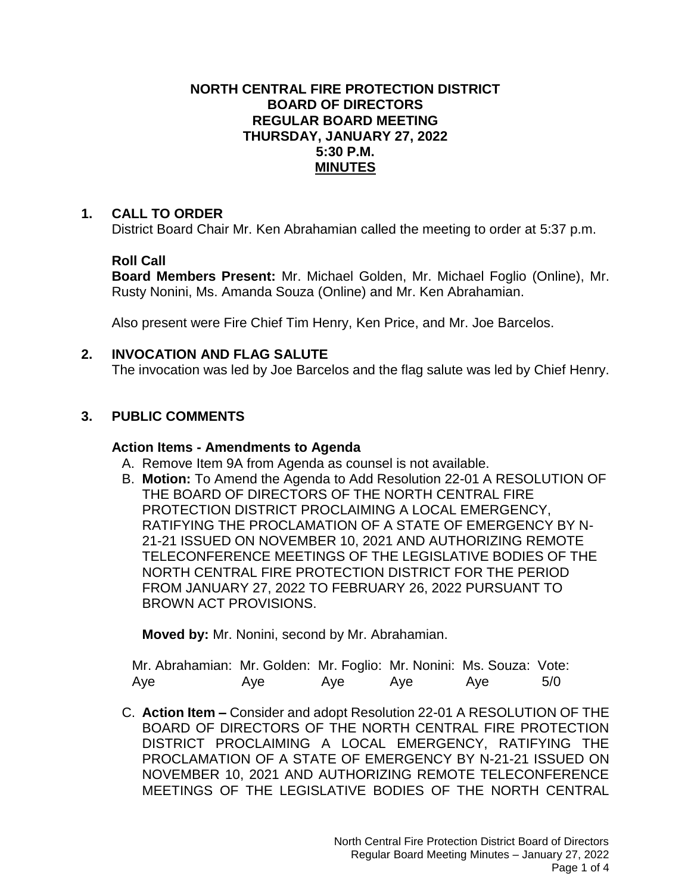## **NORTH CENTRAL FIRE PROTECTION DISTRICT BOARD OF DIRECTORS REGULAR BOARD MEETING THURSDAY, JANUARY 27, 2022 5:30 P.M. MINUTES**

## **1. CALL TO ORDER**

District Board Chair Mr. Ken Abrahamian called the meeting to order at 5:37 p.m.

## **Roll Call**

**Board Members Present:** Mr. Michael Golden, Mr. Michael Foglio (Online), Mr. Rusty Nonini, Ms. Amanda Souza (Online) and Mr. Ken Abrahamian.

Also present were Fire Chief Tim Henry, Ken Price, and Mr. Joe Barcelos.

## **2. INVOCATION AND FLAG SALUTE**

The invocation was led by Joe Barcelos and the flag salute was led by Chief Henry.

# **3. PUBLIC COMMENTS**

## **Action Items - Amendments to Agenda**

- A. Remove Item 9A from Agenda as counsel is not available.
- B. **Motion:** To Amend the Agenda to Add Resolution 22-01 A RESOLUTION OF THE BOARD OF DIRECTORS OF THE NORTH CENTRAL FIRE PROTECTION DISTRICT PROCLAIMING A LOCAL EMERGENCY, RATIFYING THE PROCLAMATION OF A STATE OF EMERGENCY BY N-21-21 ISSUED ON NOVEMBER 10, 2021 AND AUTHORIZING REMOTE TELECONFERENCE MEETINGS OF THE LEGISLATIVE BODIES OF THE NORTH CENTRAL FIRE PROTECTION DISTRICT FOR THE PERIOD FROM JANUARY 27, 2022 TO FEBRUARY 26, 2022 PURSUANT TO BROWN ACT PROVISIONS.

**Moved by:** Mr. Nonini, second by Mr. Abrahamian.

| Mr. Abrahamian: Mr. Golden: Mr. Foglio: Mr. Nonini: Ms. Souza: Vote: |     |     |     |     |     |
|----------------------------------------------------------------------|-----|-----|-----|-----|-----|
| Aye                                                                  | Aye | Aye | Aye | Aye | 5/0 |

C. **Action Item –** Consider and adopt Resolution 22-01 A RESOLUTION OF THE BOARD OF DIRECTORS OF THE NORTH CENTRAL FIRE PROTECTION DISTRICT PROCLAIMING A LOCAL EMERGENCY, RATIFYING THE PROCLAMATION OF A STATE OF EMERGENCY BY N-21-21 ISSUED ON NOVEMBER 10, 2021 AND AUTHORIZING REMOTE TELECONFERENCE MEETINGS OF THE LEGISLATIVE BODIES OF THE NORTH CENTRAL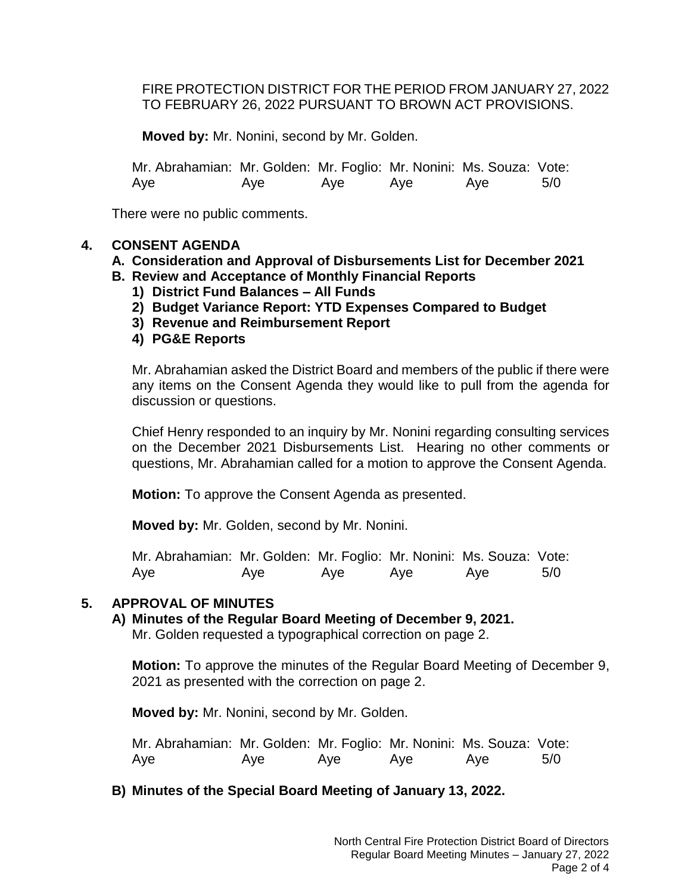FIRE PROTECTION DISTRICT FOR THE PERIOD FROM JANUARY 27, 2022 TO FEBRUARY 26, 2022 PURSUANT TO BROWN ACT PROVISIONS.

**Moved by:** Mr. Nonini, second by Mr. Golden.

Mr. Abrahamian: Mr. Golden: Mr. Foglio: Mr. Nonini: Ms. Souza: Vote: Aye Aye Aye Aye Aye 5/0

There were no public comments.

## **4. CONSENT AGENDA**

## **A. Consideration and Approval of Disbursements List for December 2021**

- **B. Review and Acceptance of Monthly Financial Reports**
	- **1) District Fund Balances – All Funds**
	- **2) Budget Variance Report: YTD Expenses Compared to Budget**
	- **3) Revenue and Reimbursement Report**
	- **4) PG&E Reports**

Mr. Abrahamian asked the District Board and members of the public if there were any items on the Consent Agenda they would like to pull from the agenda for discussion or questions.

Chief Henry responded to an inquiry by Mr. Nonini regarding consulting services on the December 2021 Disbursements List. Hearing no other comments or questions, Mr. Abrahamian called for a motion to approve the Consent Agenda.

**Motion:** To approve the Consent Agenda as presented.

**Moved by:** Mr. Golden, second by Mr. Nonini.

Mr. Abrahamian: Mr. Golden: Mr. Foglio: Mr. Nonini: Ms. Souza: Vote: Aye Aye Aye Aye Aye 5/0

## **5. APPROVAL OF MINUTES**

**A) Minutes of the Regular Board Meeting of December 9, 2021.** Mr. Golden requested a typographical correction on page 2.

**Motion:** To approve the minutes of the Regular Board Meeting of December 9, 2021 as presented with the correction on page 2.

**Moved by:** Mr. Nonini, second by Mr. Golden.

Mr. Abrahamian: Mr. Golden: Mr. Foglio: Mr. Nonini: Ms. Souza: Vote: Aye Aye Aye Aye Aye 5/0

## **B) Minutes of the Special Board Meeting of January 13, 2022.**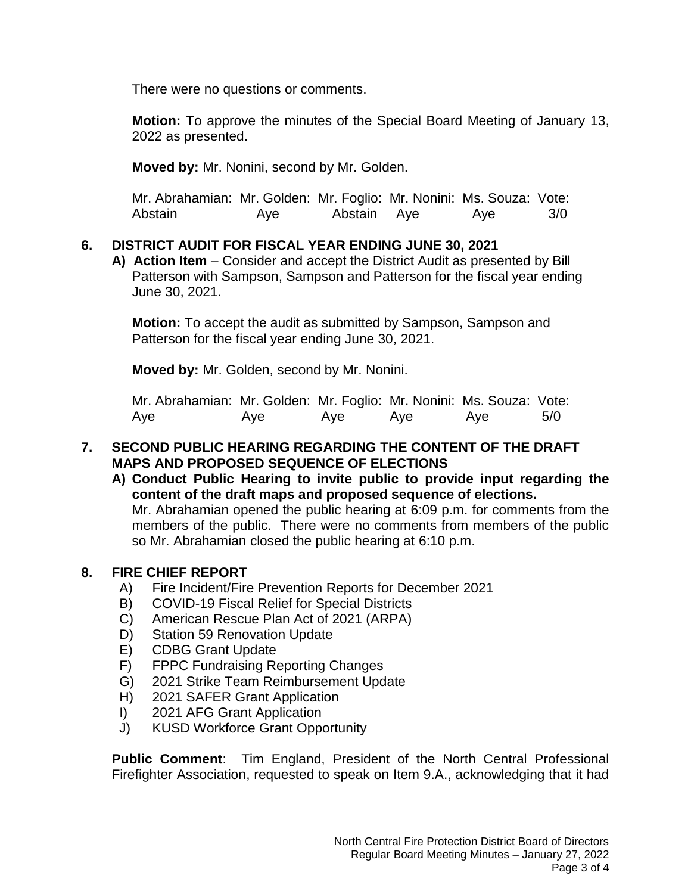There were no questions or comments.

**Motion:** To approve the minutes of the Special Board Meeting of January 13, 2022 as presented.

**Moved by:** Mr. Nonini, second by Mr. Golden.

| Mr. Abrahamian: Mr. Golden: Mr. Foglio: Mr. Nonini: Ms. Souza: Vote: |     |             |     |     |
|----------------------------------------------------------------------|-----|-------------|-----|-----|
| Abstain                                                              | Aye | Abstain Aye | Aye | 3/0 |

## **6. DISTRICT AUDIT FOR FISCAL YEAR ENDING JUNE 30, 2021**

**A) Action Item** – Consider and accept the District Audit as presented by Bill Patterson with Sampson, Sampson and Patterson for the fiscal year ending June 30, 2021.

**Motion:** To accept the audit as submitted by Sampson, Sampson and Patterson for the fiscal year ending June 30, 2021.

**Moved by:** Mr. Golden, second by Mr. Nonini.

Mr. Abrahamian: Mr. Golden: Mr. Foglio: Mr. Nonini: Ms. Souza: Vote: Aye Aye Aye Aye Aye 5/0

## **7. SECOND PUBLIC HEARING REGARDING THE CONTENT OF THE DRAFT MAPS AND PROPOSED SEQUENCE OF ELECTIONS**

**A) Conduct Public Hearing to invite public to provide input regarding the content of the draft maps and proposed sequence of elections.** Mr. Abrahamian opened the public hearing at 6:09 p.m. for comments from the members of the public. There were no comments from members of the public so Mr. Abrahamian closed the public hearing at 6:10 p.m.

## **8. FIRE CHIEF REPORT**

- A) Fire Incident/Fire Prevention Reports for December 2021
- B) COVID-19 Fiscal Relief for Special Districts
- C) American Rescue Plan Act of 2021 (ARPA)
- D) Station 59 Renovation Update
- E) CDBG Grant Update
- F) FPPC Fundraising Reporting Changes
- G) 2021 Strike Team Reimbursement Update
- H) 2021 SAFER Grant Application
- I) 2021 AFG Grant Application
- J) KUSD Workforce Grant Opportunity

**Public Comment**: Tim England, President of the North Central Professional Firefighter Association, requested to speak on Item 9.A., acknowledging that it had